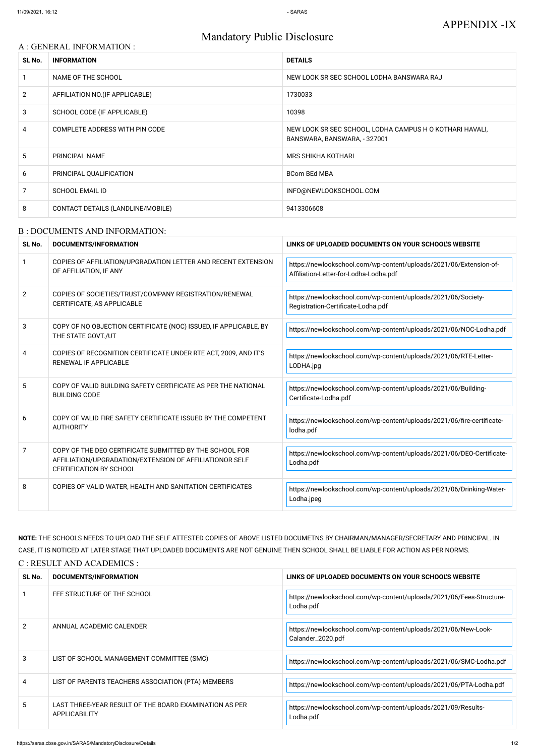# Mandatory Public Disclosure

#### A : GENERAL INFORMATION :

| SL No.         | <b>INFORMATION</b>                    | <b>DETAILS</b>                                                                           |
|----------------|---------------------------------------|------------------------------------------------------------------------------------------|
|                | NAME OF THE SCHOOL                    | NEW LOOK SR SEC SCHOOL LODHA BANSWARA RAJ                                                |
| $\overline{2}$ | AFFILIATION NO. (IF APPLICABLE)       | 1730033                                                                                  |
| 3              | SCHOOL CODE (IF APPLICABLE)           | 10398                                                                                    |
| 4              | <b>COMPLETE ADDRESS WITH PIN CODE</b> | NEW LOOK SR SEC SCHOOL, LODHA CAMPUS H O KOTHARI HAVALI,<br>BANSWARA, BANSWARA, - 327001 |
| 5              | <b>PRINCIPAL NAME</b>                 | <b>MRS SHIKHA KOTHARI</b>                                                                |
| 6              | PRINCIPAL QUALIFICATION               | <b>BCom BEd MBA</b>                                                                      |
| 7              | <b>SCHOOL EMAIL ID</b>                | INFO@NEWLOOKSCHOOL.COM                                                                   |
| 8              | CONTACT DETAILS (LANDLINE/MOBILE)     | 9413306608                                                                               |

#### B : DOCUMENTS AND INFORMATION:

| SL No.         | DOCUMENTS/INFORMATION                                                                                                                                | LINKS OF UPLOADED DOCUMENTS ON YOUR SCHOOL'S WEBSITE                                                         |
|----------------|------------------------------------------------------------------------------------------------------------------------------------------------------|--------------------------------------------------------------------------------------------------------------|
|                | COPIES OF AFFILIATION/UPGRADATION LETTER AND RECENT EXTENSION<br>OF AFFILIATION, IF ANY                                                              | https://newlookschool.com/wp-content/uploads/2021/06/Extension-of-<br>Affiliation-Letter-for-Lodha-Lodha.pdf |
| $\overline{2}$ | COPIES OF SOCIETIES/TRUST/COMPANY REGISTRATION/RENEWAL<br>CERTIFICATE, AS APPLICABLE                                                                 | https://newlookschool.com/wp-content/uploads/2021/06/Society-<br>Registration-Certificate-Lodha.pdf          |
| 3              | COPY OF NO OBJECTION CERTIFICATE (NOC) ISSUED, IF APPLICABLE, BY<br>THE STATE GOVT./UT                                                               | https://newlookschool.com/wp-content/uploads/2021/06/NOC-Lodha.pdf                                           |
| 4              | COPIES OF RECOGNITION CERTIFICATE UNDER RTE ACT, 2009, AND IT'S<br><b>RENEWAL IF APPLICABLE</b>                                                      | https://newlookschool.com/wp-content/uploads/2021/06/RTE-Letter-<br>LODHA.jpg                                |
| 5              | COPY OF VALID BUILDING SAFETY CERTIFICATE AS PER THE NATIONAL<br><b>BUILDING CODE</b>                                                                | https://newlookschool.com/wp-content/uploads/2021/06/Building-<br>Certificate-Lodha.pdf                      |
| 6              | COPY OF VALID FIRE SAFETY CERTIFICATE ISSUED BY THE COMPETENT<br><b>AUTHORITY</b>                                                                    | https://newlookschool.com/wp-content/uploads/2021/06/fire-certificate-<br>lodha.pdf                          |
| 7              | COPY OF THE DEO CERTIFICATE SUBMITTED BY THE SCHOOL FOR<br>AFFILIATION/UPGRADATION/EXTENSION OF AFFILIATIONOR SELF<br><b>CERTIFICATION BY SCHOOL</b> | https://newlookschool.com/wp-content/uploads/2021/06/DEO-Certificate-<br>Lodha.pdf                           |
| 8              | COPIES OF VALID WATER, HEALTH AND SANITATION CERTIFICATES                                                                                            | https://newlookschool.com/wp-content/uploads/2021/06/Drinking-Water-<br>Lodha.jpeg                           |

NOTE: THE SCHOOLS NEEDS TO UPLOAD THE SELF ATTESTED COPIES OF ABOVE LISTED DOCUMETNS BY CHAIRMAN/MANAGER/SECRETARY AND PRINCIPAL. IN CASE, IT IS NOTICED AT LATER STAGE THAT UPLOADED DOCUMENTS ARE NOT GENUINE THEN SCHOOL SHALL BE LIABLE FOR ACTION AS PER NORMS. C : RESULT AND ACADEMICS :

| SL No.        | DOCUMENTS/INFORMATION                                                          | LINKS OF UPLOADED DOCUMENTS ON YOUR SCHOOL'S WEBSITE                                |
|---------------|--------------------------------------------------------------------------------|-------------------------------------------------------------------------------------|
|               | FEE STRUCTURE OF THE SCHOOL                                                    | https://newlookschool.com/wp-content/uploads/2021/06/Fees-Structure-<br>Lodha.pdf   |
| $\mathcal{P}$ | ANNUAL ACADEMIC CALENDER                                                       | https://newlookschool.com/wp-content/uploads/2021/06/New-Look-<br>Calander_2020.pdf |
| 3             | LIST OF SCHOOL MANAGEMENT COMMITTEE (SMC)                                      | https://newlookschool.com/wp-content/uploads/2021/06/SMC-Lodha.pdf                  |
| 4             | LIST OF PARENTS TEACHERS ASSOCIATION (PTA) MEMBERS                             | https://newlookschool.com/wp-content/uploads/2021/06/PTA-Lodha.pdf                  |
| 5.            | LAST THREE-YEAR RESULT OF THE BOARD EXAMINATION AS PER<br><b>APPLICABILITY</b> | https://newlookschool.com/wp-content/uploads/2021/09/Results-<br>Lodha.pdf          |